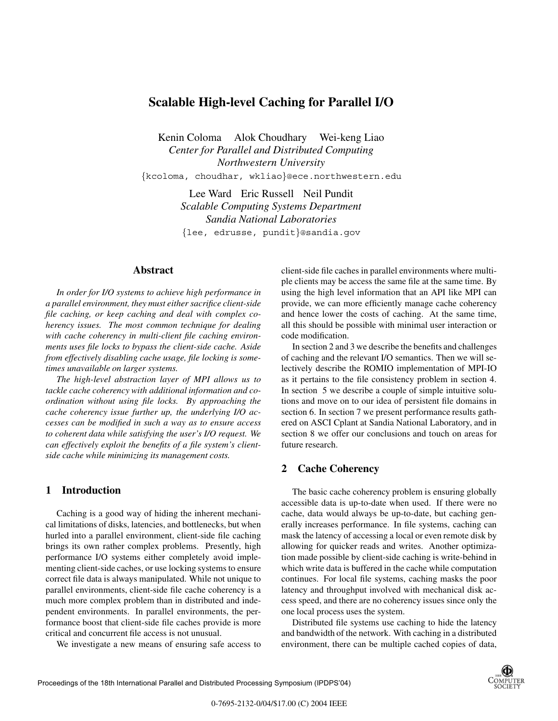# **Scalable High-level Caching for Parallel I/O**

Kenin Coloma Alok Choudhary Wei-keng Liao *Center for Parallel and Distributed Computing*

*Northwestern University* {kcoloma, choudhar, wkliao}@ece.northwestern.edu

> Lee Ward Eric Russell Neil Pundit *Scalable Computing Systems Department Sandia National Laboratories* {lee, edrusse, pundit}@sandia.gov

# **Abstract**

*In order for I/O systems to achieve high performance in a parallel environment, they must either sacrifice client-side file caching, or keep caching and deal with complex coherency issues. The most common technique for dealing with cache coherency in multi-client file caching environments uses file locks to bypass the client-side cache. Aside from effectively disabling cache usage, file locking is sometimes unavailable on larger systems.*

*The high-level abstraction layer of MPI allows us to tackle cache coherency with additional information and coordination without using file locks. By approaching the cache coherency issue further up, the underlying I/O accesses can be modified in such a way as to ensure access to coherent data while satisfying the user's I/O request. We can effectively exploit the benefits of a file system's clientside cache while minimizing its management costs.*

#### **1 Introduction**

Caching is a good way of hiding the inherent mechanical limitations of disks, latencies, and bottlenecks, but when hurled into a parallel environment, client-side file caching brings its own rather complex problems. Presently, high performance I/O systems either completely avoid implementing client-side caches, or use locking systems to ensure correct file data is always manipulated. While not unique to parallel environments, client-side file cache coherency is a much more complex problem than in distributed and independent environments. In parallel environments, the performance boost that client-side file caches provide is more critical and concurrent file access is not unusual.

We investigate a new means of ensuring safe access to

client-side file caches in parallel environments where multiple clients may be access the same file at the same time. By using the high level information that an API like MPI can provide, we can more efficiently manage cache coherency and hence lower the costs of caching. At the same time, all this should be possible with minimal user interaction or code modification.

In section 2 and 3 we describe the benefits and challenges of caching and the relevant I/O semantics. Then we will selectively describe the ROMIO implementation of MPI-IO as it pertains to the file consistency problem in section 4. In section 5 we describe a couple of simple intuitive solutions and move on to our idea of persistent file domains in section 6. In section 7 we present performance results gathered on ASCI Cplant at Sandia National Laboratory, and in section 8 we offer our conclusions and touch on areas for future research.

# **2 Cache Coherency**

The basic cache coherency problem is ensuring globally accessible data is up-to-date when used. If there were no cache, data would always be up-to-date, but caching generally increases performance. In file systems, caching can mask the latency of accessing a local or even remote disk by allowing for quicker reads and writes. Another optimization made possible by client-side caching is write-behind in which write data is buffered in the cache while computation continues. For local file systems, caching masks the poor latency and throughput involved with mechanical disk access speed, and there are no coherency issues since only the one local process uses the system.

Distributed file systems use caching to hide the latency and bandwidth of the network. With caching in a distributed environment, there can be multiple cached copies of data,

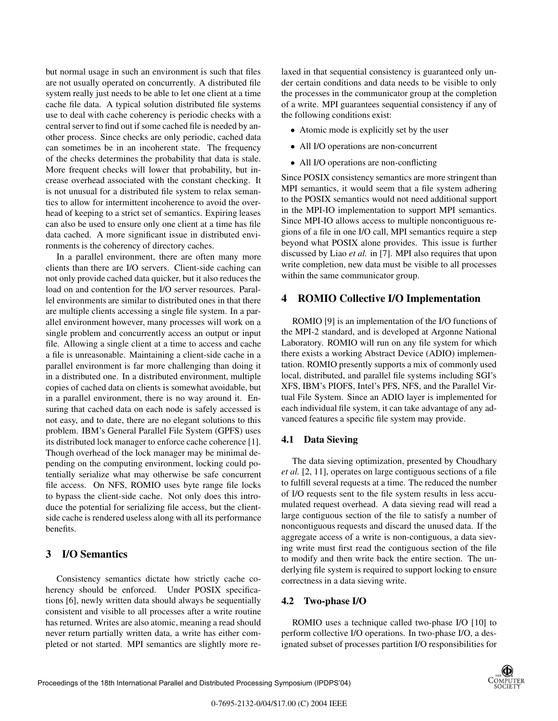but normal usage in such an environment is such that files are not usually operated on concurrently. A distributed file system really just needs to be able to let one client at a time cache file data. A typical solution distributed file systems use to deal with cache coherency is periodic checks with a central server to find out if some cached file is needed by another process. Since checks are only periodic, cached data can sometimes be in an incoherent state. The frequency of the checks determines the probability that data is stale. More frequent checks will lower that probability, but increase overhead associated with the constant checking. It is not unusual for a distributed file system to relax semantics to allow for intermittent incoherence to avoid the overhead of keeping to a strict set of semantics. Expiring leases can also be used to ensure only one client at a time has file data cached. A more significant issue in distributed environments is the coherency of directory caches.

In a parallel environment, there are often many more clients than there are I/O servers. Client-side caching can not only provide cached data quicker, but it also reduces the load on and contention for the I/O server resources. Parallel environments are similar to distributed ones in that there are multiple clients accessing a single file system. In a parallel environment however, many processes will work on a single problem and concurrently access an output or input file. Allowing a single client at a time to access and cache a file is unreasonable. Maintaining a client-side cache in a parallel environment is far more challenging than doing it in a distributed one. In a distributed environment, multiple copies of cached data on clients is somewhat avoidable, but in a parallel environment, there is no way around it. Ensuring that cached data on each node is safely accessed is not easy, and to date, there are no elegant solutions to this problem. IBM's General Parallel File System (GPFS) uses its distributed lock manager to enforce cache coherence [1]. Though overhead of the lock manager may be minimal depending on the computing environment, locking could potentially serialize what may otherwise be safe concurrent file access. On NFS, ROMIO uses byte range file locks to bypass the client-side cache. Not only does this introduce the potential for serializing file access, but the clientside cache is rendered useless along with all its performance benefits.

### **3 I/O Semantics**

Consistency semantics dictate how strictly cache coherency should be enforced. Under POSIX specifications [6], newly written data should always be sequentially consistent and visible to all processes after a write routine has returned. Writes are also atomic, meaning a read should never return partially written data, a write has either completed or not started. MPI semantics are slightly more relaxed in that sequential consistency is guaranteed only under certain conditions and data needs to be visible to only the processes in the communicator group at the completion of a write. MPI guarantees sequential consistency if any of the following conditions exist:

- Atomic mode is explicitly set by the user
- All I/O operations are non-concurrent
- All I/O operations are non-conflicting

Since POSIX consistency semantics are more stringent than MPI semantics, it would seem that a file system adhering to the POSIX semantics would not need additional support in the MPI-IO implementation to support MPI semantics. Since MPI-IO allows access to multiple noncontiguous regions of a file in one I/O call, MPI semantics require a step beyond what POSIX alone provides. This issue is further discussed by Liao *et al.* in [7]. MPI also requires that upon write completion, new data must be visible to all processes within the same communicator group.

#### **4 ROMIO Collective I/O Implementation**

ROMIO [9] is an implementation of the I/O functions of the MPI-2 standard, and is developed at Argonne National Laboratory. ROMIO will run on any file system for which there exists a working Abstract Device (ADIO) implementation. ROMIO presently supports a mix of commonly used local, distributed, and parallel file systems including SGI's XFS, IBM's PIOFS, Intel's PFS, NFS, and the Parallel Virtual File System. Since an ADIO layer is implemented for each individual file system, it can take advantage of any advanced features a specific file system may provide.

#### **4.1 Data Sieving**

The data sieving optimization, presented by Choudhary *et al.* [2, 11], operates on large contiguous sections of a file to fulfill several requests at a time. The reduced the number of I/O requests sent to the file system results in less accumulated request overhead. A data sieving read will read a large contiguous section of the file to satisfy a number of noncontiguous requests and discard the unused data. If the aggregate access of a write is non-contiguous, a data sieving write must first read the contiguous section of the file to modify and then write back the entire section. The underlying file system is required to support locking to ensure correctness in a data sieving write.

### **4.2 Two-phase I/O**

ROMIO uses a technique called two-phase I/O [10] to perform collective I/O operations. In two-phase I/O, a designated subset of processes partition I/O responsibilities for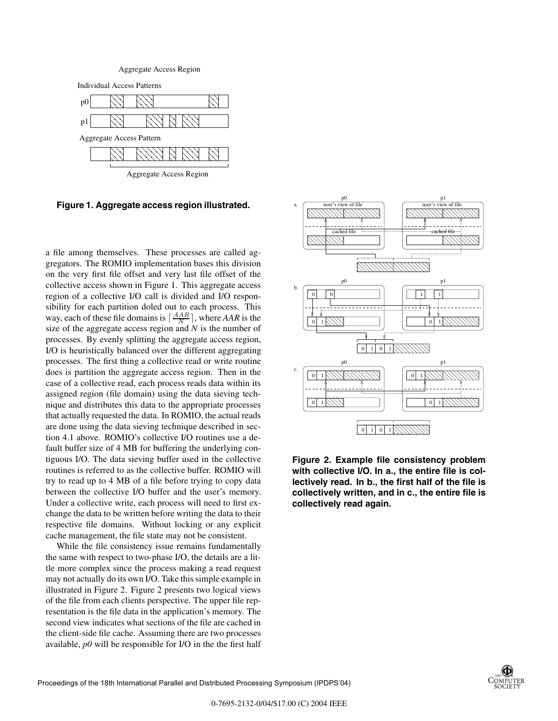Aggregate Access Region



Aggregate Access Region

**Figure 1. Aggregate access region illustrated.**

a file among themselves. These processes are called aggregators. The ROMIO implementation bases this division on the very first file offset and very last file offset of the collective access shown in Figure 1. This aggregate access region of a collective I/O call is divided and I/O responsibility for each partition doled out to each process. This way, each of these file domains is  $\lceil \frac{AAR}{N} \rceil$ , where *AAR* is the size of the aggregate access region and *N* is the number of processes. By evenly splitting the aggregate access region, I/O is heuristically balanced over the different aggregating processes. The first thing a collective read or write routine does is partition the aggregate access region. Then in the case of a collective read, each process reads data within its assigned region (file domain) using the data sieving technique and distributes this data to the appropriate processes that actually requested the data. In ROMIO, the actual reads are done using the data sieving technique described in section 4.1 above. ROMIO's collective I/O routines use a default buffer size of 4 MB for buffering the underlying contiguous I/O. The data sieving buffer used in the collective routines is referred to as the collective buffer. ROMIO will try to read up to 4 MB of a file before trying to copy data between the collective I/O buffer and the user's memory. Under a collective write, each process will need to first exchange the data to be written before writing the data to their respective file domains. Without locking or any explicit cache management, the file state may not be consistent.

While the file consistency issue remains fundamentally the same with respect to two-phase I/O, the details are a little more complex since the process making a read request may not actually do its own I/O. Take this simple example in illustrated in Figure 2. Figure 2 presents two logical views of the file from each clients perspective. The upper file representation is the file data in the application's memory. The second view indicates what sections of the file are cached in the client-side file cache. Assuming there are two processes available, *p0* will be responsible for I/O in the the first half



**Figure 2. Example file consistency problem with collective I/O. In a., the entire file is collectively read. In b., the first half of the file is collectively written, and in c., the entire file is collectively read again.**

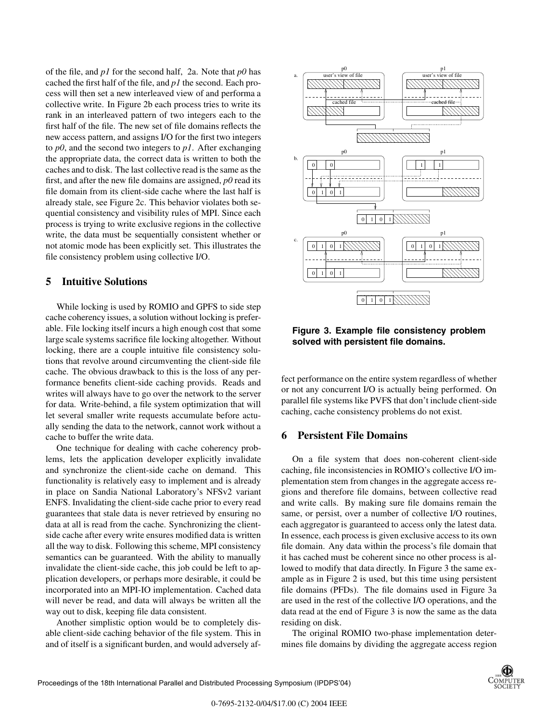of the file, and *p1* for the second half, 2a. Note that *p0* has cached the first half of the file, and *p1* the second. Each process will then set a new interleaved view of and performa a collective write. In Figure 2b each process tries to write its rank in an interleaved pattern of two integers each to the first half of the file. The new set of file domains reflects the new access pattern, and assigns I/O for the first two integers to *p0*, and the second two integers to *p1*. After exchanging the appropriate data, the correct data is written to both the caches and to disk. The last collective read is the same as the first, and after the new file domains are assigned, *p0* read its file domain from its client-side cache where the last half is already stale, see Figure 2c. This behavior violates both sequential consistency and visibility rules of MPI. Since each process is trying to write exclusive regions in the collective write, the data must be sequentially consistent whether or not atomic mode has been explicitly set. This illustrates the file consistency problem using collective I/O.

#### **5 Intuitive Solutions**

While locking is used by ROMIO and GPFS to side step cache coherency issues, a solution without locking is preferable. File locking itself incurs a high enough cost that some large scale systems sacrifice file locking altogether. Without locking, there are a couple intuitive file consistency solutions that revolve around circumventing the client-side file cache. The obvious drawback to this is the loss of any performance benefits client-side caching provids. Reads and writes will always have to go over the network to the server for data. Write-behind, a file system optimization that will let several smaller write requests accumulate before actually sending the data to the network, cannot work without a cache to buffer the write data.

One technique for dealing with cache coherency problems, lets the application developer explicitly invalidate and synchronize the client-side cache on demand. This functionality is relatively easy to implement and is already in place on Sandia National Laboratory's NFSv2 variant ENFS. Invalidating the client-side cache prior to every read guarantees that stale data is never retrieved by ensuring no data at all is read from the cache. Synchronizing the clientside cache after every write ensures modified data is written all the way to disk. Following this scheme, MPI consistency semantics can be guaranteed. With the ability to manually invalidate the client-side cache, this job could be left to application developers, or perhaps more desirable, it could be incorporated into an MPI-IO implementation. Cached data will never be read, and data will always be written all the way out to disk, keeping file data consistent.

Another simplistic option would be to completely disable client-side caching behavior of the file system. This in and of itself is a significant burden, and would adversely af-



**Figure 3. Example file consistency problem solved with persistent file domains.**

fect performance on the entire system regardless of whether or not any concurrent I/O is actually being performed. On parallel file systems like PVFS that don't include client-side caching, cache consistency problems do not exist.

# **6 Persistent File Domains**

On a file system that does non-coherent client-side caching, file inconsistencies in ROMIO's collective I/O implementation stem from changes in the aggregate access regions and therefore file domains, between collective read and write calls. By making sure file domains remain the same, or persist, over a number of collective I/O routines, each aggregator is guaranteed to access only the latest data. In essence, each process is given exclusive access to its own file domain. Any data within the process's file domain that it has cached must be coherent since no other process is allowed to modify that data directly. In Figure 3 the same example as in Figure 2 is used, but this time using persistent file domains (PFDs). The file domains used in Figure 3a are used in the rest of the collective I/O operations, and the data read at the end of Figure 3 is now the same as the data residing on disk.

The original ROMIO two-phase implementation determines file domains by dividing the aggregate access region

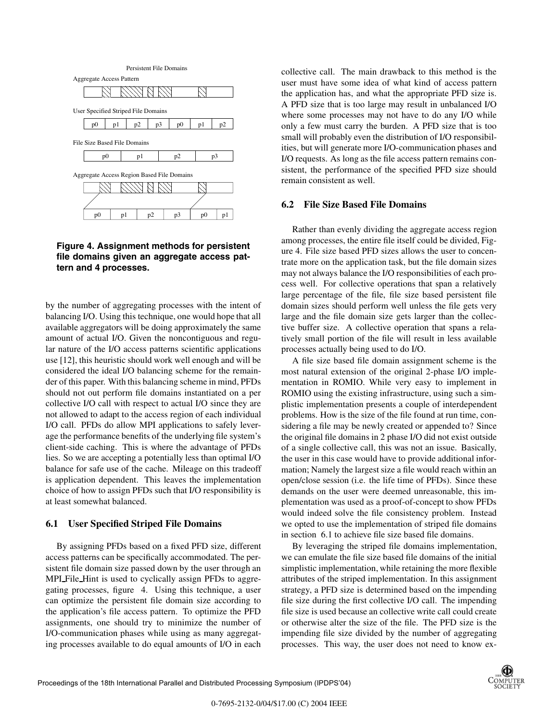

**Figure 4. Assignment methods for persistent file domains given an aggregate access pattern and 4 processes.**

by the number of aggregating processes with the intent of balancing I/O. Using this technique, one would hope that all available aggregators will be doing approximately the same amount of actual I/O. Given the noncontiguous and regular nature of the I/O access patterns scientific applications use [12], this heuristic should work well enough and will be considered the ideal I/O balancing scheme for the remainder of this paper. With this balancing scheme in mind, PFDs should not out perform file domains instantiated on a per collective I/O call with respect to actual I/O since they are not allowed to adapt to the access region of each individual I/O call. PFDs do allow MPI applications to safely leverage the performance benefits of the underlying file system's client-side caching. This is where the advantage of PFDs lies. So we are accepting a potentially less than optimal I/O balance for safe use of the cache. Mileage on this tradeoff is application dependent. This leaves the implementation choice of how to assign PFDs such that I/O responsibility is at least somewhat balanced.

#### **6.1 User Specified Striped File Domains**

By assigning PFDs based on a fixed PFD size, different access patterns can be specifically accommodated. The persistent file domain size passed down by the user through an MPI File Hint is used to cyclically assign PFDs to aggregating processes, figure 4. Using this technique, a user can optimize the persistent file domain size according to the application's file access pattern. To optimize the PFD assignments, one should try to minimize the number of I/O-communication phases while using as many aggregating processes available to do equal amounts of I/O in each

collective call. The main drawback to this method is the user must have some idea of what kind of access pattern the application has, and what the appropriate PFD size is. A PFD size that is too large may result in unbalanced I/O where some processes may not have to do any I/O while only a few must carry the burden. A PFD size that is too small will probably even the distribution of I/O responsibilities, but will generate more I/O-communication phases and I/O requests. As long as the file access pattern remains consistent, the performance of the specified PFD size should remain consistent as well.

#### **6.2 File Size Based File Domains**

Rather than evenly dividing the aggregate access region among processes, the entire file itself could be divided, Figure 4. File size based PFD sizes allows the user to concentrate more on the application task, but the file domain sizes may not always balance the I/O responsibilities of each process well. For collective operations that span a relatively large percentage of the file, file size based persistent file domain sizes should perform well unless the file gets very large and the file domain size gets larger than the collective buffer size. A collective operation that spans a relatively small portion of the file will result in less available processes actually being used to do I/O.

A file size based file domain assignment scheme is the most natural extension of the original 2-phase I/O implementation in ROMIO. While very easy to implement in ROMIO using the existing infrastructure, using such a simplistic implementation presents a couple of interdependent problems. How is the size of the file found at run time, considering a file may be newly created or appended to? Since the original file domains in 2 phase I/O did not exist outside of a single collective call, this was not an issue. Basically, the user in this case would have to provide additional information; Namely the largest size a file would reach within an open/close session (i.e. the life time of PFDs). Since these demands on the user were deemed unreasonable, this implementation was used as a proof-of-concept to show PFDs would indeed solve the file consistency problem. Instead we opted to use the implementation of striped file domains in section 6.1 to achieve file size based file domains.

By leveraging the striped file domains implementation, we can emulate the file size based file domains of the initial simplistic implementation, while retaining the more flexible attributes of the striped implementation. In this assignment strategy, a PFD size is determined based on the impending file size during the first collective I/O call. The impending file size is used because an collective write call could create or otherwise alter the size of the file. The PFD size is the impending file size divided by the number of aggregating processes. This way, the user does not need to know ex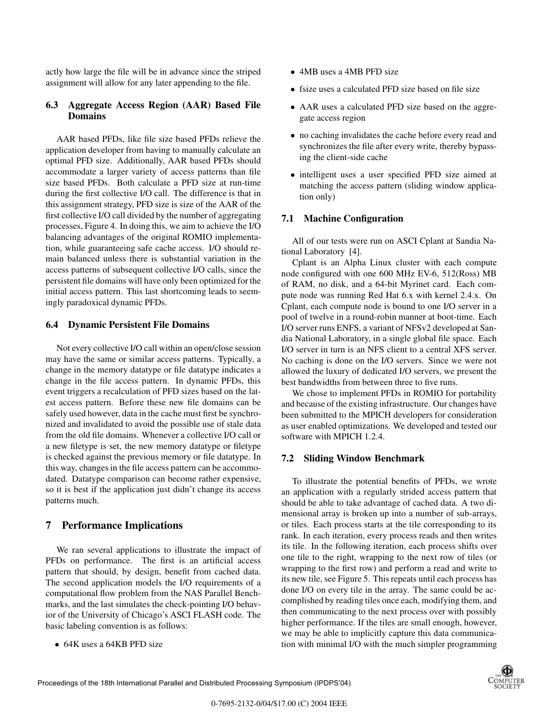actly how large the file will be in advance since the striped assignment will allow for any later appending to the file.

### **6.3 Aggregate Access Region (AAR) Based File Domains**

AAR based PFDs, like file size based PFDs relieve the application developer from having to manually calculate an optimal PFD size. Additionally, AAR based PFDs should accommodate a larger variety of access patterns than file size based PFDs. Both calculate a PFD size at run-time during the first collective I/O call. The difference is that in this assignment strategy, PFD size is size of the AAR of the first collective I/O call divided by the number of aggregating processes, Figure 4. In doing this, we aim to achieve the I/O balancing advantages of the original ROMIO implementation, while guaranteeing safe cache access. I/O should remain balanced unless there is substantial variation in the access patterns of subsequent collective I/O calls, since the persistent file domains will have only been optimized for the initial access pattern. This last shortcoming leads to seemingly paradoxical dynamic PFDs.

### **6.4 Dynamic Persistent File Domains**

Not every collective I/O call within an open/close session may have the same or similar access patterns. Typically, a change in the memory datatype or file datatype indicates a change in the file access pattern. In dynamic PFDs, this event triggers a recalculation of PFD sizes based on the latest access pattern. Before these new file domains can be safely used however, data in the cache must first be synchronized and invalidated to avoid the possible use of stale data from the old file domains. Whenever a collective I/O call or a new filetype is set, the new memory datatype or filetype is checked against the previous memory or file datatype. In this way, changes in the file access pattern can be accommodated. Datatype comparison can become rather expensive, so it is best if the application just didn't change its access patterns much.

# **7 Performance Implications**

We ran several applications to illustrate the impact of PFDs on performance. The first is an artificial access pattern that should, by design, benefit from cached data. The second application models the I/O requirements of a computational flow problem from the NAS Parallel Benchmarks, and the last simulates the check-pointing I/O behavior of the University of Chicago's ASCI FLASH code. The basic labeling convention is as follows:

• 64K uses a 64KB PFD size

- 4MB uses a 4MB PFD size
- fsize uses a calculated PFD size based on file size
- AAR uses a calculated PFD size based on the aggregate access region
- no caching invalidates the cache before every read and synchronizes the file after every write, thereby bypassing the client-side cache
- intelligent uses a user specified PFD size aimed at matching the access pattern (sliding window application only)

#### **7.1 Machine Configuration**

All of our tests were run on ASCI Cplant at Sandia National Laboratory [4].

Cplant is an Alpha Linux cluster with each compute node configured with one 600 MHz EV-6, 512(Ross) MB of RAM, no disk, and a 64-bit Myrinet card. Each compute node was running Red Hat 6.x with kernel 2.4.x. On Cplant, each compute node is bound to one I/O server in a pool of twelve in a round-robin manner at boot-time. Each I/O server runs ENFS, a variant of NFSv2 developed at Sandia National Laboratory, in a single global file space. Each I/O server in turn is an NFS client to a central XFS server. No caching is done on the I/O servers. Since we were not allowed the luxury of dedicated I/O servers, we present the best bandwidths from between three to five runs.

We chose to implement PFDs in ROMIO for portability and because of the existing infrastructure. Our changes have been submitted to the MPICH developers for consideration as user enabled optimizations. We developed and tested our software with MPICH 1.2.4.

#### **7.2 Sliding Window Benchmark**

To illustrate the potential benefits of PFDs, we wrote an application with a regularly strided access pattern that should be able to take advantage of cached data. A two dimensional array is broken up into a number of sub-arrays, or tiles. Each process starts at the tile corresponding to its rank. In each iteration, every process reads and then writes its tile. In the following iteration, each process shifts over one tile to the right, wrapping to the next row of tiles (or wrapping to the first row) and perform a read and write to its new tile, see Figure 5. This repeats until each process has done I/O on every tile in the array. The same could be accomplished by reading tiles once each, modifying them, and then communicating to the next process over with possibly higher performance. If the tiles are small enough, however, we may be able to implicitly capture this data communication with minimal I/O with the much simpler programming

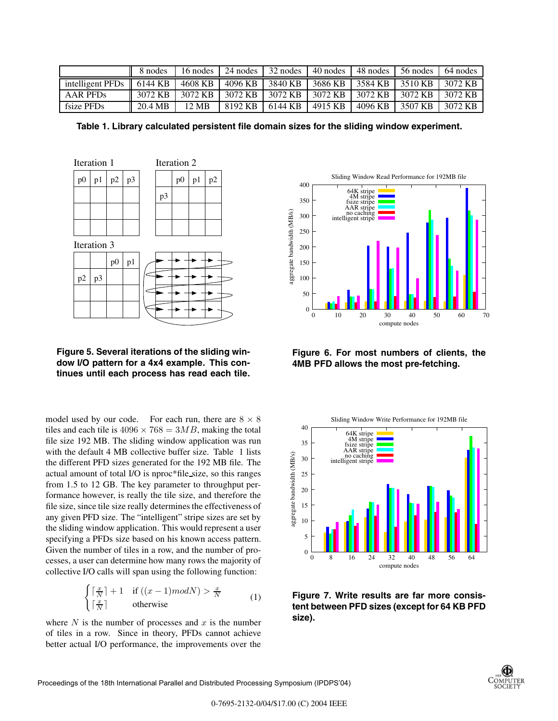|                                      | 8 nodes | 16 nodes | 24 nodes | 32 nodes | 40 nodes | 48 nodes                    | 56 nodes | 64 nodes |
|--------------------------------------|---------|----------|----------|----------|----------|-----------------------------|----------|----------|
| intelligent PFDs $\parallel$ 6144 KB |         | 4608 KB  | 4096 KB  | 3840 KB  |          | 3686 KB   3584 KB   3510 KB |          | 3072 KB  |
| AAR PFDs                             | 3072 KB | 3072 KB  | 3072 KB  | 3072 KB  |          | 3072 KB 3072 KB             | 3072 KB  | 3072 KB  |
| fsize PFDs                           | 20.4 MB | 12 MB    | 8192 KB  | 6144 KB  | 4915 KB  | 4096 KB                     | 3507 KB  | 3072 KB  |

**Table 1. Library calculated persistent file domain sizes for the sliding window experiment.**



**Figure 5. Several iterations of the sliding window I/O pattern for a 4x4 example. This continues until each process has read each tile.**

model used by our code. For each run, there are  $8 \times 8$ tiles and each tile is  $4096 \times 768 = 3MB$ , making the total file size 192 MB. The sliding window application was run with the default 4 MB collective buffer size. Table 1 lists the different PFD sizes generated for the 192 MB file. The actual amount of total I/O is nproc\*file size, so this ranges from 1.5 to 12 GB. The key parameter to throughput performance however, is really the tile size, and therefore the file size, since tile size really determines the effectiveness of any given PFD size. The "intelligent" stripe sizes are set by the sliding window application. This would represent a user specifying a PFDs size based on his known access pattern. Given the number of tiles in a row, and the number of processes, a user can determine how many rows the majority of collective I/O calls will span using the following function:

$$
\begin{cases} \lceil \frac{x}{N} \rceil + 1 & \text{if } ((x-1)modN) > \frac{x}{N} \\ \lceil \frac{x}{N} \rceil & \text{otherwise} \end{cases}
$$
 (1)

where  $N$  is the number of processes and  $x$  is the number of tiles in a row. Since in theory, PFDs cannot achieve better actual I/O performance, the improvements over the



**Figure 6. For most numbers of clients, the 4MB PFD allows the most pre-fetching.**



**Figure 7. Write results are far more consistent between PFD sizes (except for 64 KB PFD size).**

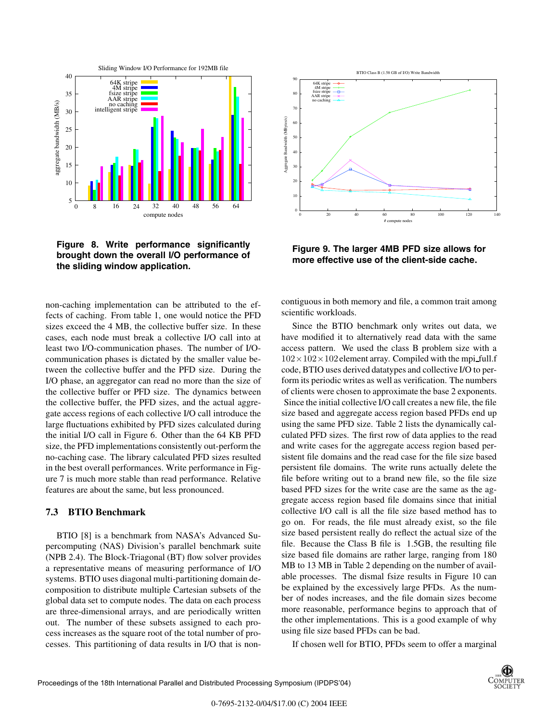

**Figure 8. Write performance significantly brought down the overall I/O performance of the sliding window application.**

non-caching implementation can be attributed to the effects of caching. From table 1, one would notice the PFD sizes exceed the 4 MB, the collective buffer size. In these cases, each node must break a collective I/O call into at least two I/O-communication phases. The number of I/Ocommunication phases is dictated by the smaller value between the collective buffer and the PFD size. During the I/O phase, an aggregator can read no more than the size of the collective buffer or PFD size. The dynamics between the collective buffer, the PFD sizes, and the actual aggregate access regions of each collective I/O call introduce the large fluctuations exhibited by PFD sizes calculated during the initial I/O call in Figure 6. Other than the 64 KB PFD size, the PFD implementations consistently out-perform the no-caching case. The library calculated PFD sizes resulted in the best overall performances. Write performance in Figure 7 is much more stable than read performance. Relative features are about the same, but less pronounced.

#### **7.3 BTIO Benchmark**

BTIO [8] is a benchmark from NASA's Advanced Supercomputing (NAS) Division's parallel benchmark suite (NPB 2.4). The Block-Triagonal (BT) flow solver provides a representative means of measuring performance of I/O systems. BTIO uses diagonal multi-partitioning domain decomposition to distribute multiple Cartesian subsets of the global data set to compute nodes. The data on each process are three-dimensional arrays, and are periodically written out. The number of these subsets assigned to each process increases as the square root of the total number of processes. This partitioning of data results in I/O that is non-



**Figure 9. The larger 4MB PFD size allows for more effective use of the client-side cache.**

contiguous in both memory and file, a common trait among scientific workloads.

Since the BTIO benchmark only writes out data, we have modified it to alternatively read data with the same access pattern. We used the class B problem size with a  $102 \times 102 \times 102$  element array. Compiled with the mpi\_full.f code, BTIO uses derived datatypes and collective I/O to perform its periodic writes as well as verification. The numbers of clients were chosen to approximate the base 2 exponents. Since the initial collective I/O call creates a new file, the file size based and aggregate access region based PFDs end up using the same PFD size. Table 2 lists the dynamically calculated PFD sizes. The first row of data applies to the read and write cases for the aggregate access region based persistent file domains and the read case for the file size based persistent file domains. The write runs actually delete the file before writing out to a brand new file, so the file size based PFD sizes for the write case are the same as the aggregate access region based file domains since that initial collective I/O call is all the file size based method has to go on. For reads, the file must already exist, so the file size based persistent really do reflect the actual size of the file. Because the Class B file is 1.5GB, the resulting file size based file domains are rather large, ranging from 180 MB to 13 MB in Table 2 depending on the number of available processes. The dismal fsize results in Figure 10 can be explained by the excessively large PFDs. As the number of nodes increases, and the file domain sizes become more reasonable, performance begins to approach that of the other implementations. This is a good example of why using file size based PFDs can be bad.

If chosen well for BTIO, PFDs seem to offer a marginal

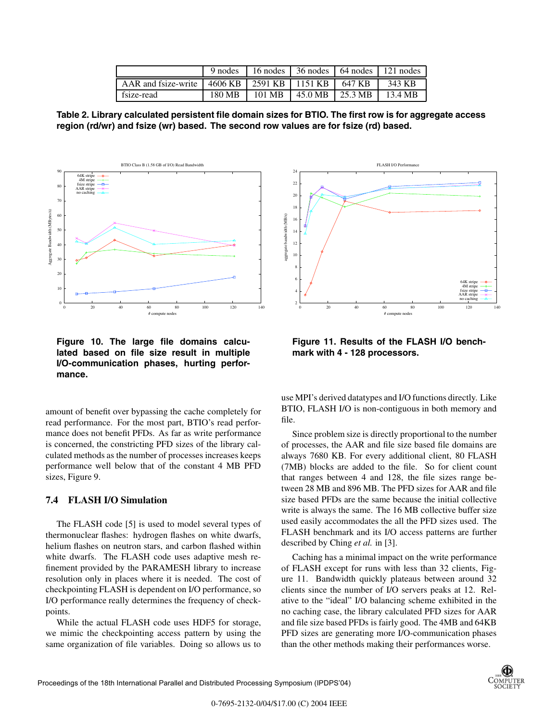|                                                            | 9 nodes |                                      | $\vert$ 16 nodes $\vert$ 36 nodes $\vert$ 64 nodes $\vert$ 121 nodes |
|------------------------------------------------------------|---------|--------------------------------------|----------------------------------------------------------------------|
| AAR and fsize-write   4606 KB   2591 KB   1151 KB   647 KB |         |                                      | 343 KB                                                               |
| fsize-read                                                 | 180 MB  | $101 \text{ MB}$   45.0 MB   25.3 MB | 13.4 MB                                                              |

**Table 2. Library calculated persistent file domain sizes for BTIO. The first row is for aggregate access region (rd/wr) and fsize (wr) based. The second row values are for fsize (rd) based.**



**Figure 10. The large file domains calculated based on file size result in multiple I/O-communication phases, hurting performance.**

amount of benefit over bypassing the cache completely for read performance. For the most part, BTIO's read performance does not benefit PFDs. As far as write performance is concerned, the constricting PFD sizes of the library calculated methods as the number of processes increases keeps performance well below that of the constant 4 MB PFD sizes, Figure 9.

#### **7.4 FLASH I/O Simulation**

The FLASH code [5] is used to model several types of thermonuclear flashes: hydrogen flashes on white dwarfs, helium flashes on neutron stars, and carbon flashed within white dwarfs. The FLASH code uses adaptive mesh refinement provided by the PARAMESH library to increase resolution only in places where it is needed. The cost of checkpointing FLASH is dependent on I/O performance, so I/O performance really determines the frequency of checkpoints.

While the actual FLASH code uses HDF5 for storage, we mimic the checkpointing access pattern by using the same organization of file variables. Doing so allows us to



**Figure 11. Results of the FLASH I/O benchmark with 4 - 128 processors.**

use MPI's derived datatypes and I/O functions directly. Like BTIO, FLASH I/O is non-contiguous in both memory and file.

Since problem size is directly proportional to the number of processes, the AAR and file size based file domains are always 7680 KB. For every additional client, 80 FLASH (7MB) blocks are added to the file. So for client count that ranges between 4 and 128, the file sizes range between 28 MB and 896 MB. The PFD sizes for AAR and file size based PFDs are the same because the initial collective write is always the same. The 16 MB collective buffer size used easily accommodates the all the PFD sizes used. The FLASH benchmark and its I/O access patterns are further described by Ching *et al.* in [3].

Caching has a minimal impact on the write performance of FLASH except for runs with less than 32 clients, Figure 11. Bandwidth quickly plateaus between around 32 clients since the number of I/O servers peaks at 12. Relative to the "ideal" I/O balancing scheme exhibited in the no caching case, the library calculated PFD sizes for AAR and file size based PFDs is fairly good. The 4MB and 64KB PFD sizes are generating more I/O-communication phases than the other methods making their performances worse.